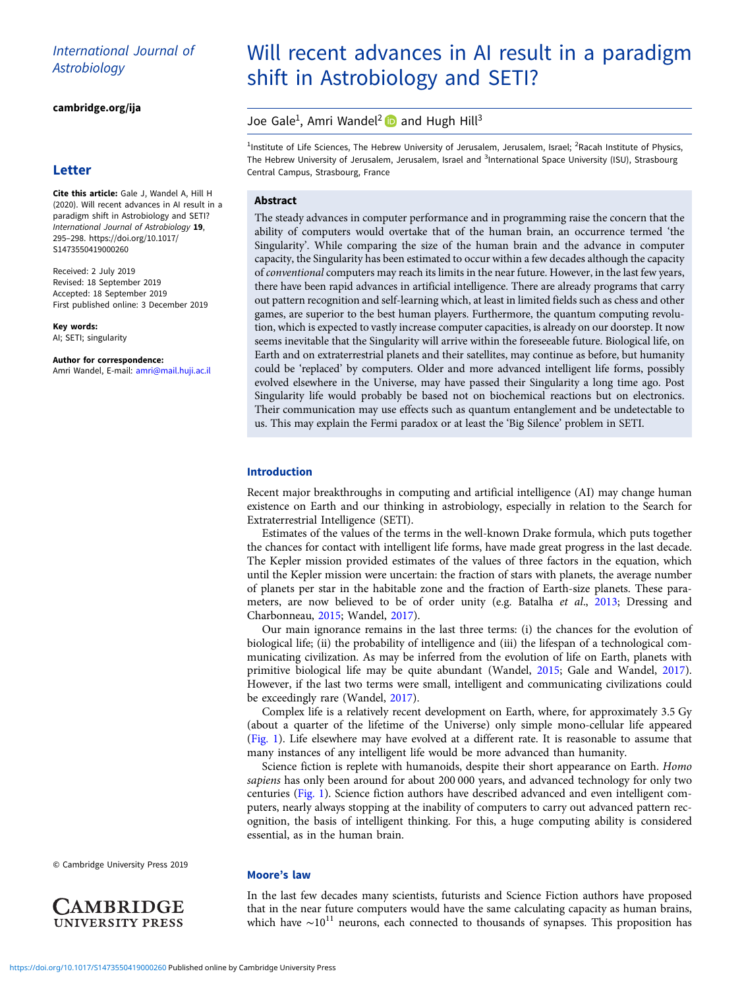## International Journal of<br>Astrobiology Astrobiology

[cambridge.org/ija](https://www.cambridge.org/ija)

## Letter

Cite this article: Gale J, Wandel A, Hill H (2020). Will recent advances in AI result in a paradigm shift in Astrobiology and SETI? International Journal of Astrobiology <sup>19</sup>, 295–298. [https://doi.org/10.1017/](https://doi.org/10.1017/S1473550419000260) [S1473550419000260](https://doi.org/10.1017/S1473550419000260)

Received: 2 July 2019 Revised: 18 September 2019 Accepted: 18 September 2019 First published online: 3 December 2019

Key words: AI; SETI; singularity

Author for correspondence: Amri Wandel, E-mail: [amri@mail.huji.ac.il](mailto:amri@mail.huji.ac.il)

# Will recent advances in AI result in a paradigm shift in Astrobiology and SETI?

### Joe Gale<sup>1</sup>, Amri Wandel<sup>2</sup> and Hugh Hill<sup>3</sup>

<sup>1</sup>Institute of Life Sciences, The Hebrew University of Jerusalem, Jerusalem, Israel; <sup>2</sup>Racah Institute of Physics, The Hebrew University of Jerusalem, Jerusalem, Israel and <sup>3</sup>International Space University (ISU), Strasbourg Central Campus, Strasbourg, France

#### Abstract

The steady advances in computer performance and in programming raise the concern that the ability of computers would overtake that of the human brain, an occurrence termed 'the Singularity'. While comparing the size of the human brain and the advance in computer capacity, the Singularity has been estimated to occur within a few decades although the capacity of conventional computers may reach its limits in the near future. However, in the last few years, there have been rapid advances in artificial intelligence. There are already programs that carry out pattern recognition and self-learning which, at least in limited fields such as chess and other games, are superior to the best human players. Furthermore, the quantum computing revolution, which is expected to vastly increase computer capacities, is already on our doorstep. It now seems inevitable that the Singularity will arrive within the foreseeable future. Biological life, on Earth and on extraterrestrial planets and their satellites, may continue as before, but humanity could be 'replaced' by computers. Older and more advanced intelligent life forms, possibly evolved elsewhere in the Universe, may have passed their Singularity a long time ago. Post Singularity life would probably be based not on biochemical reactions but on electronics. Their communication may use effects such as quantum entanglement and be undetectable to us. This may explain the Fermi paradox or at least the 'Big Silence' problem in SETI.

## Introduction

Recent major breakthroughs in computing and artificial intelligence (AI) may change human existence on Earth and our thinking in astrobiology, especially in relation to the Search for Extraterrestrial Intelligence (SETI).

Estimates of the values of the terms in the well-known Drake formula, which puts together the chances for contact with intelligent life forms, have made great progress in the last decade. The Kepler mission provided estimates of the values of three factors in the equation, which until the Kepler mission were uncertain: the fraction of stars with planets, the average number of planets per star in the habitable zone and the fraction of Earth-size planets. These para-meters, are now believed to be of order unity (e.g. Batalha et al., [2013;](#page-3-0) Dressing and Charbonneau, [2015;](#page-3-0) Wandel, [2017\)](#page-3-0).

Our main ignorance remains in the last three terms: (i) the chances for the evolution of biological life; (ii) the probability of intelligence and (iii) the lifespan of a technological communicating civilization. As may be inferred from the evolution of life on Earth, planets with primitive biological life may be quite abundant (Wandel, [2015](#page-3-0); Gale and Wandel, [2017](#page-3-0)). However, if the last two terms were small, intelligent and communicating civilizations could be exceedingly rare (Wandel, [2017](#page-3-0)).

Complex life is a relatively recent development on Earth, where, for approximately 3.5 Gy (about a quarter of the lifetime of the Universe) only simple mono-cellular life appeared ([Fig. 1\)](#page-1-0). Life elsewhere may have evolved at a different rate. It is reasonable to assume that many instances of any intelligent life would be more advanced than humanity.

Science fiction is replete with humanoids, despite their short appearance on Earth. Homo sapiens has only been around for about 200 000 years, and advanced technology for only two centuries ([Fig. 1\)](#page-1-0). Science fiction authors have described advanced and even intelligent computers, nearly always stopping at the inability of computers to carry out advanced pattern recognition, the basis of intelligent thinking. For this, a huge computing ability is considered essential, as in the human brain.

© Cambridge University Press 2019



#### Moore's law

In the last few decades many scientists, futurists and Science Fiction authors have proposed that in the near future computers would have the same calculating capacity as human brains, which have  $\sim 10^{11}$  neurons, each connected to thousands of synapses. This proposition has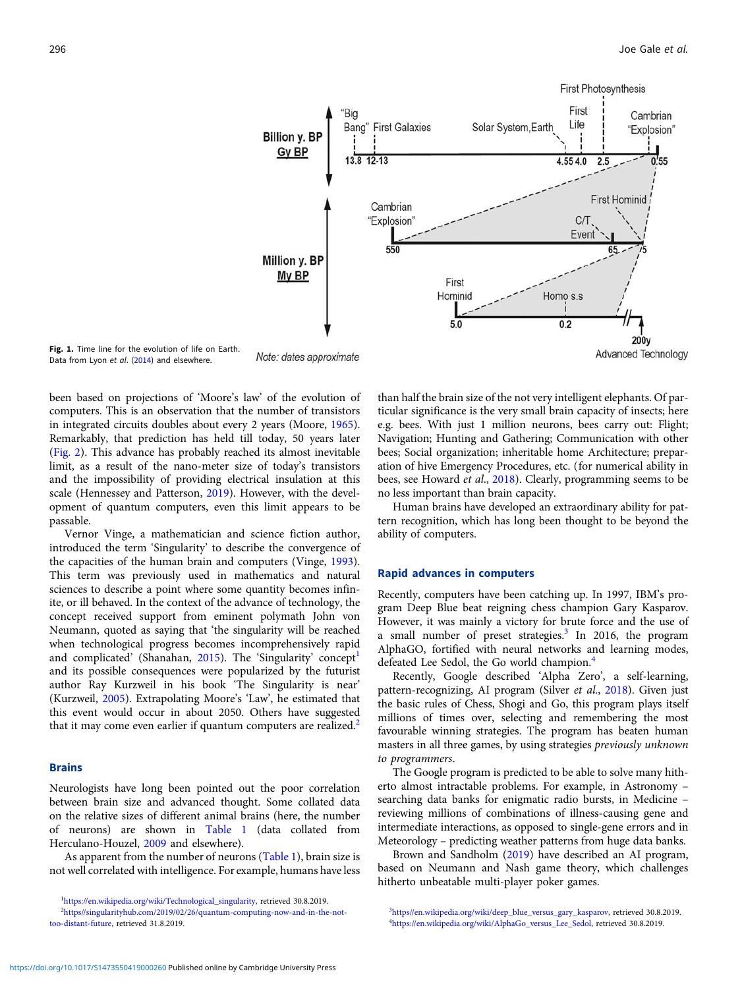<span id="page-1-0"></span>

Fig. 1. Time line for the evolution of life on Earth. Data from Lyon et al. ([2014](#page-3-0)) and elsewhere.

Note: dates approximate

been based on projections of 'Moore's law' of the evolution of computers. This is an observation that the number of transistors in integrated circuits doubles about every 2 years (Moore, [1965\)](#page-3-0). Remarkably, that prediction has held till today, 50 years later ([Fig. 2\)](#page-2-0). This advance has probably reached its almost inevitable limit, as a result of the nano-meter size of today's transistors and the impossibility of providing electrical insulation at this scale (Hennessey and Patterson, [2019](#page-3-0)). However, with the development of quantum computers, even this limit appears to be passable.

Vernor Vinge, a mathematician and science fiction author, introduced the term 'Singularity' to describe the convergence of the capacities of the human brain and computers (Vinge, [1993\)](#page-3-0). This term was previously used in mathematics and natural sciences to describe a point where some quantity becomes infinite, or ill behaved. In the context of the advance of technology, the concept received support from eminent polymath John von Neumann, quoted as saying that 'the singularity will be reached when technological progress becomes incomprehensively rapid and complicated' (Shanahan,  $2015$ ). The 'Singularity' concept<sup>1</sup> and its possible consequences were popularized by the futurist author Ray Kurzweil in his book 'The Singularity is near' (Kurzweil, [2005](#page-3-0)). Extrapolating Moore's 'Law', he estimated that this event would occur in about 2050. Others have suggested that it may come even earlier if quantum computers are realized.<sup>2</sup>

#### **Brains**

Neurologists have long been pointed out the poor correlation between brain size and advanced thought. Some collated data on the relative sizes of different animal brains (here, the number of neurons) are shown in [Table 1](#page-2-0) (data collated from Herculano-Houzel, [2009](#page-3-0) and elsewhere).

As apparent from the number of neurons ([Table 1](#page-2-0)), brain size is not well correlated with intelligence. For example, humans have less

than half the brain size of the not very intelligent elephants. Of particular significance is the very small brain capacity of insects; here e.g. bees. With just 1 million neurons, bees carry out: Flight; Navigation; Hunting and Gathering; Communication with other bees; Social organization; inheritable home Architecture; preparation of hive Emergency Procedures, etc. (for numerical ability in bees, see Howard et al., [2018\)](#page-3-0). Clearly, programming seems to be no less important than brain capacity.

Human brains have developed an extraordinary ability for pattern recognition, which has long been thought to be beyond the ability of computers.

#### Rapid advances in computers

Recently, computers have been catching up. In 1997, IBM's program Deep Blue beat reigning chess champion Gary Kasparov. However, it was mainly a victory for brute force and the use of a small number of preset strategies.<sup>3</sup> In 2016, the program AlphaGO, fortified with neural networks and learning modes, defeated Lee Sedol, the Go world champion.<sup>4</sup>

Recently, Google described 'Alpha Zero', a self-learning, pattern-recognizing, AI program (Silver et al., [2018](#page-3-0)). Given just the basic rules of Chess, Shogi and Go, this program plays itself millions of times over, selecting and remembering the most favourable winning strategies. The program has beaten human masters in all three games, by using strategies previously unknown to programmers.

The Google program is predicted to be able to solve many hitherto almost intractable problems. For example, in Astronomy – searching data banks for enigmatic radio bursts, in Medicine – reviewing millions of combinations of illness-causing gene and intermediate interactions, as opposed to single-gene errors and in Meteorology – predicting weather patterns from huge data banks.

Brown and Sandholm ([2019](#page-3-0)) have described an AI program, based on Neumann and Nash game theory, which challenges hitherto unbeatable multi-player poker games.

<sup>&</sup>lt;sup>1</sup>[https://en.wikipedia.org/wiki/Technological\\_singularity](https://en.wikipedia.org/wiki/Technological_singularity), retrieved 30.8.2019.

<sup>&</sup>lt;sup>2</sup>[https//singularityhub.com/2019/02/26/quantum-computing-now-and-in-the-not](http://https//singularityhub.com/2019/02/26/quantum-computing-now-and-in-the-not-too-distant-future)[too-distant-future,](http://https//singularityhub.com/2019/02/26/quantum-computing-now-and-in-the-not-too-distant-future) retrieved 31.8.2019.

<sup>3</sup> [https//en.wikipedia.org/wiki/deep\\_blue\\_versus\\_gary\\_kasparov](http://https//en.wikipedia.org/wiki/deep_blue_versus_gary_kasparov), retrieved 30.8.2019. 4 [https://en.wikipedia.org/wiki/AlphaGo\\_versus\\_Lee\\_Sedol,](https://en.wikipedia.org/wiki/AlphaGo_versus_Lee_Sedol) retrieved 30.8.2019.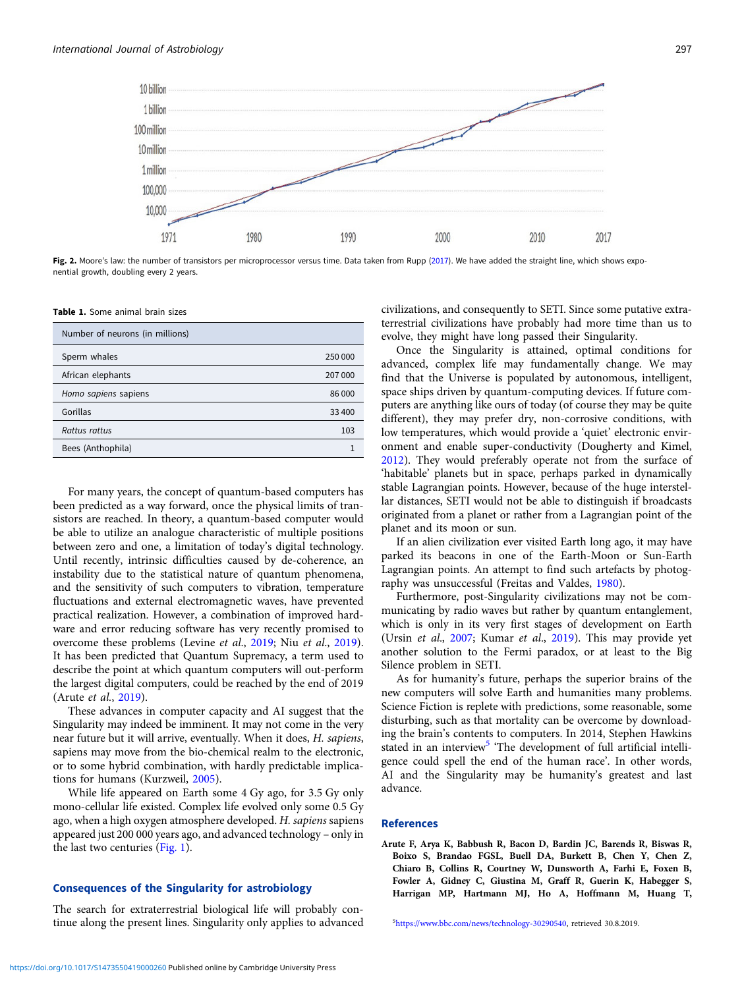<span id="page-2-0"></span>

Fig. 2. Moore's law: the number of transistors per microprocessor versus time. Data taken from Rupp [\(2017](#page-3-0)). We have added the straight line, which shows exponential growth, doubling every 2 years.

Table 1. Some animal brain sizes

| Number of neurons (in millions) |         |
|---------------------------------|---------|
| Sperm whales                    | 250 000 |
| African elephants               | 207 000 |
| Homo sapiens sapiens            | 86 000  |
| Gorillas                        | 33 400  |
| Rattus rattus                   | 103     |
| Bees (Anthophila)               |         |

For many years, the concept of quantum-based computers has been predicted as a way forward, once the physical limits of transistors are reached. In theory, a quantum-based computer would be able to utilize an analogue characteristic of multiple positions between zero and one, a limitation of today's digital technology. Until recently, intrinsic difficulties caused by de-coherence, an instability due to the statistical nature of quantum phenomena, and the sensitivity of such computers to vibration, temperature fluctuations and external electromagnetic waves, have prevented practical realization. However, a combination of improved hardware and error reducing software has very recently promised to overcome these problems (Levine et al., [2019;](#page-3-0) Niu et al., [2019\)](#page-3-0). It has been predicted that Quantum Supremacy, a term used to describe the point at which quantum computers will out-perform the largest digital computers, could be reached by the end of 2019 (Arute et al., 2019).

These advances in computer capacity and AI suggest that the Singularity may indeed be imminent. It may not come in the very near future but it will arrive, eventually. When it does, H. sapiens, sapiens may move from the bio-chemical realm to the electronic, or to some hybrid combination, with hardly predictable implications for humans (Kurzweil, [2005\)](#page-3-0).

While life appeared on Earth some 4 Gy ago, for 3.5 Gy only mono-cellular life existed. Complex life evolved only some 0.5 Gy ago, when a high oxygen atmosphere developed. H. sapiens sapiens appeared just 200 000 years ago, and advanced technology – only in the last two centuries [\(Fig. 1](#page-1-0)).

#### Consequences of the Singularity for astrobiology

The search for extraterrestrial biological life will probably continue along the present lines. Singularity only applies to advanced

civilizations, and consequently to SETI. Since some putative extraterrestrial civilizations have probably had more time than us to evolve, they might have long passed their Singularity.

Once the Singularity is attained, optimal conditions for advanced, complex life may fundamentally change. We may find that the Universe is populated by autonomous, intelligent, space ships driven by quantum-computing devices. If future computers are anything like ours of today (of course they may be quite different), they may prefer dry, non-corrosive conditions, with low temperatures, which would provide a 'quiet' electronic environment and enable super-conductivity (Dougherty and Kimel, [2012](#page-3-0)). They would preferably operate not from the surface of 'habitable' planets but in space, perhaps parked in dynamically stable Lagrangian points. However, because of the huge interstellar distances, SETI would not be able to distinguish if broadcasts originated from a planet or rather from a Lagrangian point of the planet and its moon or sun.

If an alien civilization ever visited Earth long ago, it may have parked its beacons in one of the Earth-Moon or Sun-Earth Lagrangian points. An attempt to find such artefacts by photography was unsuccessful (Freitas and Valdes, [1980\)](#page-3-0).

Furthermore, post-Singularity civilizations may not be communicating by radio waves but rather by quantum entanglement, which is only in its very first stages of development on Earth (Ursin et al., [2007;](#page-3-0) Kumar et al., [2019](#page-3-0)). This may provide yet another solution to the Fermi paradox, or at least to the Big Silence problem in SETI.

As for humanity's future, perhaps the superior brains of the new computers will solve Earth and humanities many problems. Science Fiction is replete with predictions, some reasonable, some disturbing, such as that mortality can be overcome by downloading the brain's contents to computers. In 2014, Stephen Hawkins stated in an interview<sup>5</sup> 'The development of full artificial intelligence could spell the end of the human race'. In other words, AI and the Singularity may be humanity's greatest and last advance.

#### References

Arute F, Arya K, Babbush R, Bacon D, Bardin JC, Barends R, Biswas R, Boixo S, Brandao FGSL, Buell DA, Burkett B, Chen Y, Chen Z, Chiaro B, Collins R, Courtney W, Dunsworth A, Farhi E, Foxen B, Fowler A, Gidney C, Giustina M, Graff R, Guerin K, Habegger S, Harrigan MP, Hartmann MJ, Ho A, Hoffmann M, Huang T,

5 [https://www.bbc.com/news/technology-30290540,](https://www.bbc.com/news/technology-30290540) retrieved 30.8.2019.